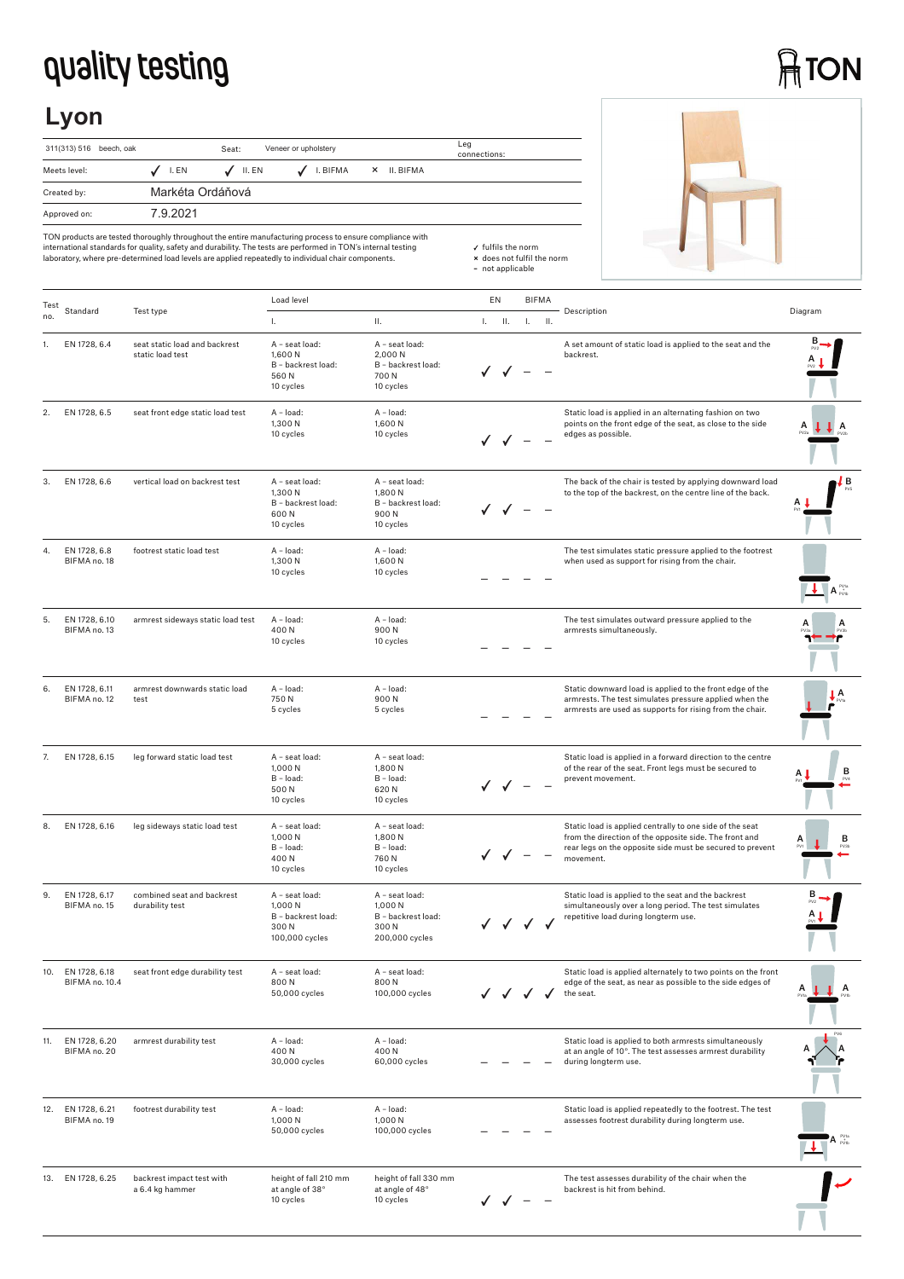## **quality testing**

## **ATON**

## **Lyon**

| 311(313) 516 beech, oak |                  | Seat:            | Veneer or upholstery |          |          |           | Leg<br>connections: |
|-------------------------|------------------|------------------|----------------------|----------|----------|-----------|---------------------|
| Meets level:            | $J$ I.EN         | $\sqrt{}$ II. EN |                      | I. BIFMA | $\times$ | II. BIFMA |                     |
| Created by:             | Markéta Ordáňová |                  |                      |          |          |           |                     |
| Approved on:            | 792021           |                  |                      |          |          |           |                     |



TON products are tested thoroughly throughout the entire manufacturing process to ensure compliance with<br>international standards for quality, safety and durability. The tests are performed in TON's internal testing<br>laborat

| Test | Standard                            |                                                   | Load level                                                                |                                                                           | EN |                                                     |    | <b>BIFMA</b>    |                                                                                                                                                                                              |                                |
|------|-------------------------------------|---------------------------------------------------|---------------------------------------------------------------------------|---------------------------------------------------------------------------|----|-----------------------------------------------------|----|-----------------|----------------------------------------------------------------------------------------------------------------------------------------------------------------------------------------------|--------------------------------|
| no.  |                                     | Test type                                         | $\mathbf{L}$                                                              | П.                                                                        | L. | Ш.                                                  | Τ. | $\mathbf{II}$ . | Description                                                                                                                                                                                  | Diagram                        |
| 1.   | EN 1728, 6.4                        | seat static load and backrest<br>static load test | A - seat load:<br>1,600 N<br>B - backrest load:<br>560N<br>10 cycles      | A - seat load:<br>2,000 N<br>B - backrest load:<br>700 N<br>10 cycles     |    |                                                     |    |                 | A set amount of static load is applied to the seat and the<br>backrest.                                                                                                                      |                                |
| 2.   | EN 1728, 6.5                        | seat front edge static load test                  | A - load:<br>1,300 N<br>10 cycles                                         | A - load:<br>1,600 N<br>10 cycles                                         |    |                                                     |    |                 | Static load is applied in an alternating fashion on two<br>points on the front edge of the seat, as close to the side<br>edges as possible.                                                  |                                |
| 3.   | EN 1728, 6.6                        | vertical load on backrest test                    | A - seat load:<br>1,300 N<br>B - backrest load:<br>600N<br>10 cycles      | A - seat load:<br>1,800 N<br>B - backrest load:<br>900N<br>10 cycles      |    |                                                     |    |                 | The back of the chair is tested by applying downward load<br>to the top of the backrest, on the centre line of the back.                                                                     | В                              |
| 4.   | EN 1728, 6.8<br>BIFMA no. 18        | footrest static load test                         | A - load:<br>1,300 N<br>10 cycles                                         | A - load:<br>1,600N<br>10 cycles                                          |    |                                                     |    |                 | The test simulates static pressure applied to the footrest<br>when used as support for rising from the chair.                                                                                | $A_{\text{prb}}^{\text{PV1a}}$ |
| 5.   | EN 1728, 6.10<br>BIFMA no. 13       | armrest sideways static load test                 | A - load:<br>400N<br>10 cycles                                            | $A - load$ :<br>900N<br>10 cycles                                         |    |                                                     |    |                 | The test simulates outward pressure applied to the<br>armrests simultaneously.                                                                                                               |                                |
| 6.   | EN 1728, 6.11<br>BIFMA no. 12       | armrest downwards static load<br>test             | A - load:<br>750N<br>5 cycles                                             | A - load:<br>900N<br>5 cycles                                             |    |                                                     |    |                 | Static downward load is applied to the front edge of the<br>armrests. The test simulates pressure applied when the<br>armrests are used as supports for rising from the chair.               | A                              |
| 7.   | EN 1728, 6.15                       | leg forward static load test                      | A - seat load:<br>1,000 N<br>$B - load:$<br>500 N<br>10 cycles            | A - seat load:<br>1,800 N<br>B - load:<br>620 N<br>10 cycles              |    |                                                     |    |                 | Static load is applied in a forward direction to the centre<br>of the rear of the seat. Front legs must be secured to<br>prevent movement.                                                   | в                              |
| 8.   | EN 1728, 6.16                       | leg sideways static load test                     | A - seat load:<br>1,000 N<br>B - load:<br>400N<br>10 cycles               | A - seat load:<br>1,800 N<br>B - load:<br>760 N<br>10 cycles              |    |                                                     |    |                 | Static load is applied centrally to one side of the seat<br>from the direction of the opposite side. The front and<br>rear legs on the opposite side must be secured to prevent<br>movement. | в                              |
| 9.   | EN 1728, 6.17<br>BIFMA no. 15       | combined seat and backrest<br>durability test     | A - seat load:<br>1,000 N<br>B - backrest load:<br>300N<br>100,000 cycles | A - seat load:<br>1.000 N<br>B - backrest load:<br>300N<br>200,000 cycles |    | $\checkmark$ $\checkmark$ $\checkmark$ $\checkmark$ |    |                 | Static load is applied to the seat and the backrest<br>simultaneously over a long period. The test simulates<br>repetitive load during longterm use.                                         |                                |
|      | 10. EN 1728, 6.18<br>BIFMA no. 10.4 | seat front edge durability test                   | A - seat load:<br>800N<br>50,000 cycles                                   | A - seat load:<br>800N<br>100,000 cycles                                  |    |                                                     |    |                 | Static load is applied alternately to two points on the front<br>edge of the seat, as near as possible to the side edges of<br>the seat.                                                     | А                              |
| 11.  | EN 1728, 6.20<br>BIFMA no. 20       | armrest durability test                           | A - load:<br>400N<br>30,000 cycles                                        | $A - load:$<br>400N<br>60,000 cycles                                      |    |                                                     |    |                 | Static load is applied to both armrests simultaneously<br>at an angle of 10°. The test assesses armrest durability<br>during longterm use.                                                   |                                |
| 12.  | EN 1728, 6.21<br>BIFMA no. 19       | footrest durability test                          | A - load:<br>1,000 N<br>50,000 cycles                                     | A - load:<br>1,000 N<br>100,000 cycles                                    |    |                                                     |    |                 | Static load is applied repeatedly to the footrest. The test<br>assesses footrest durability during longterm use.                                                                             |                                |
| 13.  | EN 1728, 6.25                       | backrest impact test with<br>a 6.4 kg hammer      | height of fall 210 mm<br>at angle of 38°<br>10 cycles                     | height of fall 330 mm<br>at angle of 48°<br>10 cycles                     |    |                                                     |    |                 | The test assesses durability of the chair when the<br>backrest is hit from behind.                                                                                                           |                                |

fulfils the norm **×** does not fulfil the norm **–** not applicable